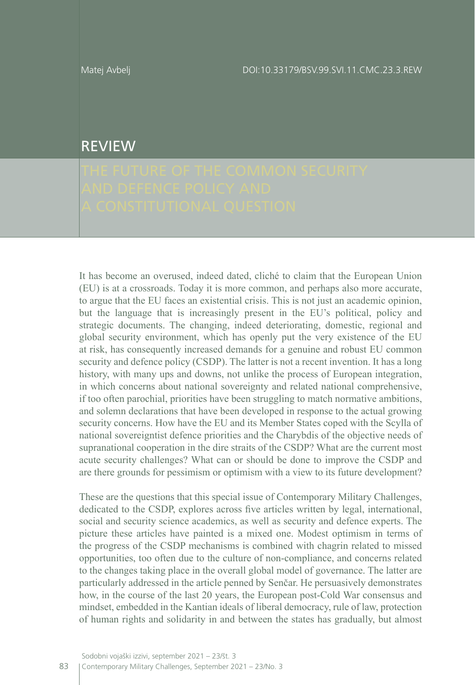## REVIEW

It has become an overused, indeed dated, cliché to claim that the European Union (EU) is at a crossroads. Today it is more common, and perhaps also more accurate, to argue that the EU faces an existential crisis. This is not just an academic opinion, but the language that is increasingly present in the EU's political, policy and strategic documents. The changing, indeed deteriorating, domestic, regional and global security environment, which has openly put the very existence of the EU at risk, has consequently increased demands for a genuine and robust EU common security and defence policy (CSDP). The latter is not a recent invention. It has a long history, with many ups and downs, not unlike the process of European integration, in which concerns about national sovereignty and related national comprehensive, if too often parochial, priorities have been struggling to match normative ambitions, and solemn declarations that have been developed in response to the actual growing security concerns. How have the EU and its Member States coped with the Scylla of national sovereigntist defence priorities and the Charybdis of the objective needs of supranational cooperation in the dire straits of the CSDP? What are the current most acute security challenges? What can or should be done to improve the CSDP and are there grounds for pessimism or optimism with a view to its future development?

These are the questions that this special issue of Contemporary Military Challenges, dedicated to the CSDP, explores across five articles written by legal, international, social and security science academics, as well as security and defence experts. The picture these articles have painted is a mixed one. Modest optimism in terms of the progress of the CSDP mechanisms is combined with chagrin related to missed opportunities, too often due to the culture of non-compliance, and concerns related to the changes taking place in the overall global model of governance. The latter are particularly addressed in the article penned by Senčar. He persuasively demonstrates how, in the course of the last 20 years, the European post-Cold War consensus and mindset, embedded in the Kantian ideals of liberal democracy, rule of law, protection of human rights and solidarity in and between the states has gradually, but almost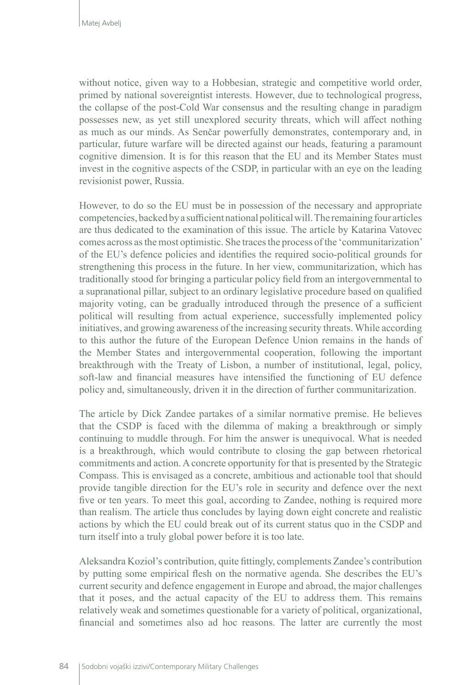without notice, given way to a Hobbesian, strategic and competitive world order, primed by national sovereigntist interests. However, due to technological progress, the collapse of the post-Cold War consensus and the resulting change in paradigm possesses new, as yet still unexplored security threats, which will affect nothing as much as our minds. As Senčar powerfully demonstrates, contemporary and, in particular, future warfare will be directed against our heads, featuring a paramount cognitive dimension. It is for this reason that the EU and its Member States must invest in the cognitive aspects of the CSDP, in particular with an eye on the leading revisionist power, Russia.

However, to do so the EU must be in possession of the necessary and appropriate competencies, backed by a sufficient national political will. The remaining four articles are thus dedicated to the examination of this issue. The article by Katarina Vatovec comes across as the most optimistic. She traces the process of the 'communitarization' of the EU's defence policies and identifies the required socio-political grounds for strengthening this process in the future. In her view, communitarization, which has traditionally stood for bringing a particular policy field from an intergovernmental to a supranational pillar, subject to an ordinary legislative procedure based on qualified majority voting, can be gradually introduced through the presence of a sufficient political will resulting from actual experience, successfully implemented policy initiatives, and growing awareness of the increasing security threats. While according to this author the future of the European Defence Union remains in the hands of the Member States and intergovernmental cooperation, following the important breakthrough with the Treaty of Lisbon, a number of institutional, legal, policy, soft-law and financial measures have intensified the functioning of EU defence policy and, simultaneously, driven it in the direction of further communitarization.

The article by Dick Zandee partakes of a similar normative premise. He believes that the CSDP is faced with the dilemma of making a breakthrough or simply continuing to muddle through. For him the answer is unequivocal. What is needed is a breakthrough, which would contribute to closing the gap between rhetorical commitments and action. A concrete opportunity for that is presented by the Strategic Compass. This is envisaged as a concrete, ambitious and actionable tool that should provide tangible direction for the EU's role in security and defence over the next five or ten years. To meet this goal, according to Zandee, nothing is required more than realism. The article thus concludes by laying down eight concrete and realistic actions by which the EU could break out of its current status quo in the CSDP and turn itself into a truly global power before it is too late.

Aleksandra Kozioł's contribution, quite fittingly, complements Zandee's contribution by putting some empirical flesh on the normative agenda. She describes the EU's current security and defence engagement in Europe and abroad, the major challenges that it poses, and the actual capacity of the EU to address them. This remains relatively weak and sometimes questionable for a variety of political, organizational, financial and sometimes also ad hoc reasons. The latter are currently the most